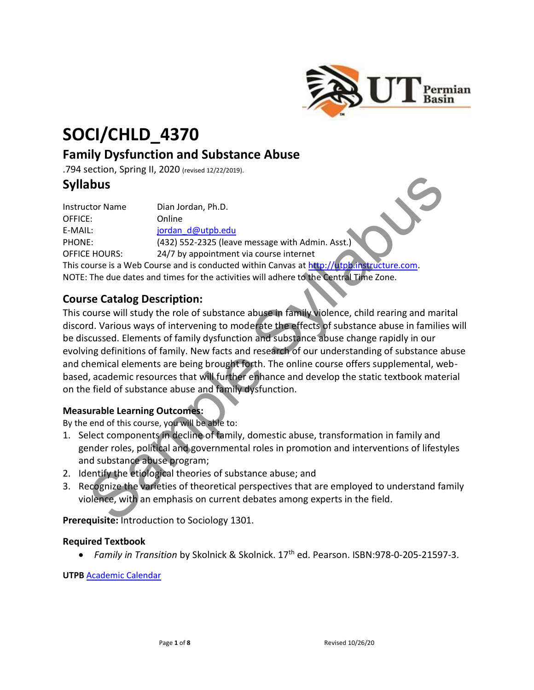

# **SOCI/CHLD\_4370**

# **Family Dysfunction and Substance Abuse**

.794 section, Spring II, 2020 (revised 12/22/2019).

# **Syllabus**

| <b>Instructor Name</b> | Dian Jordan, Ph.D.                                                                         |
|------------------------|--------------------------------------------------------------------------------------------|
| OFFICE:                | Online                                                                                     |
| E-MAIL:                | jordan d@utpb.edu                                                                          |
| PHONE:                 | (432) 552-2325 (leave message with Admin. Asst.)                                           |
| <b>OFFICE HOURS:</b>   | 24/7 by appointment via course internet                                                    |
|                        | This course is a Web Course and is conducted within Canvas at http://utpb.instructure.com. |
|                        | NOTE: The due dates and times for the activities will adhere to the Central Time Zone.     |

## **Course Catalog Description:**

This course will study the role of substance abuse in family violence, child rearing and marital discord. Various ways of intervening to moderate the effects of substance abuse in families will be discussed. Elements of family dysfunction and substance abuse change rapidly in our evolving definitions of family. New facts and research of our understanding of substance abuse and chemical elements are being brought forth. The online course offers supplemental, webbased, academic resources that will further enhance and develop the static textbook material on the field of substance abuse and family dysfunction. **abused to the matter of the syl[lab](http://utpb.instructure.com/)used in the syllabused of the syllabused of the syllabused CHA and detections**<br>
E:<br>
Sample of the syllapublic control of the syllapublic control of the syllapublic control of the syllapub

#### **Measurable Learning Outcomes:**

By the end of this course, you will be able to:

- 1. Select components in decline of family, domestic abuse, transformation in family and gender roles, political and governmental roles in promotion and interventions of lifestyles and substance abuse program;
- 2. Identify the etiological theories of substance abuse; and
- 3. Recognize the varieties of theoretical perspectives that are employed to understand family violence, with an emphasis on current debates among experts in the field.

**Prerequisite:** Introduction to Sociology 1301.

#### **Required Textbook**

• *Family in Transition* by Skolnick & Skolnick. 17th ed. Pearson. ISBN:978-0-205-21597-3.

**UTPB** [Academic Calendar](https://www.utpb.edu/calendar/academic-calendar.pdf)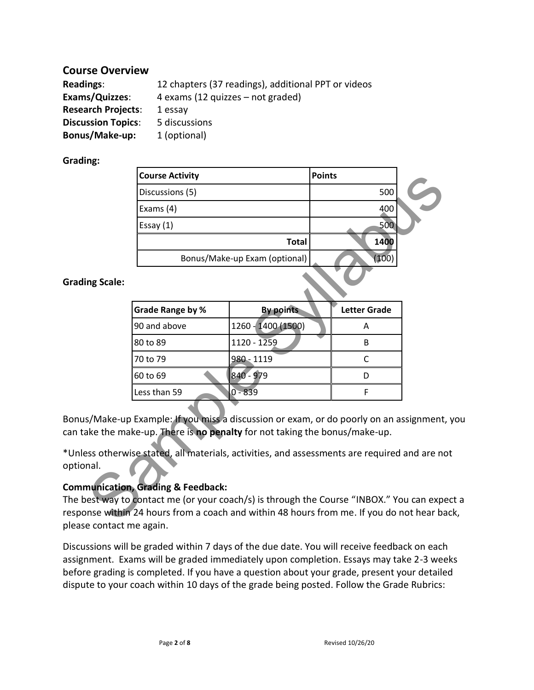## **Course Overview**

| <b>Readings:</b>          | 12 chapters (37 readings), additional PPT or videos |
|---------------------------|-----------------------------------------------------|
| Exams/Quizzes:            | 4 exams (12 quizzes – not graded)                   |
| <b>Research Projects:</b> | 1 essay                                             |
| <b>Discussion Topics:</b> | 5 discussions                                       |
| Bonus/Make-up:            | 1 (optional)                                        |

#### **Grading:**

|              | <b>Course Activity</b>                                                                                                                                                                                        |                               | <b>Points</b> |                     |  |
|--------------|---------------------------------------------------------------------------------------------------------------------------------------------------------------------------------------------------------------|-------------------------------|---------------|---------------------|--|
|              | Discussions (5)                                                                                                                                                                                               |                               |               | 500                 |  |
|              | Exams (4)                                                                                                                                                                                                     |                               |               | 400                 |  |
|              | Essay $(1)$                                                                                                                                                                                                   |                               | 500           |                     |  |
| <b>Total</b> |                                                                                                                                                                                                               | 1400                          |               |                     |  |
|              |                                                                                                                                                                                                               | Bonus/Make-up Exam (optional) |               | (100)               |  |
| ng Scale:    |                                                                                                                                                                                                               |                               |               |                     |  |
|              | Grade Range by %                                                                                                                                                                                              | <b>By points</b>              |               | <b>Letter Grade</b> |  |
|              | 90 and above                                                                                                                                                                                                  | 1260 - 1400 (1500)            |               | A                   |  |
|              | 80 to 89                                                                                                                                                                                                      | $1120 - 1259$                 |               | B                   |  |
|              | 70 to 79                                                                                                                                                                                                      | 980 - 1119                    |               | $\mathsf{C}$        |  |
|              | 60 to 69                                                                                                                                                                                                      | 840 - 979                     |               | D                   |  |
|              | Less than 59                                                                                                                                                                                                  | $0 - 839$                     |               | F                   |  |
|              | s/Make-up Example: If you miss a discussion or exam, or do poorly on an assignment<br>ake the make-up. There is no penalty for not taking the bonus/make-up.                                                  |                               |               |                     |  |
| nal.         | ss otherwise stated, all materials, activities, and assessments are required and are no                                                                                                                       |                               |               |                     |  |
|              | nunication, Grading & Feedback:<br>est way to contact me (or your coach/s) is through the Course "INBOX." You can expe<br>nse within 24 hours from a coach and within 48 hours from me. If you do not hear ba |                               |               |                     |  |

**Grading Scale:** 

| <b>Grade Range by %</b> | <b>By points</b>   | <b>Letter Grade</b> |  |
|-------------------------|--------------------|---------------------|--|
| 90 and above            | 1260 - 1400 (1500) |                     |  |
| 80 to 89                | 1120 - 1259        | В                   |  |
| 70 to 79                | 980 - 1119         |                     |  |
| 60 to 69                | 840 - 979          |                     |  |
| Less than 59            | 839                |                     |  |

Bonus/Make-up Example: If you miss a discussion or exam, or do poorly on an assignment, you can take the make-up. There is **no penalty** for not taking the bonus/make-up.

\*Unless otherwise stated, all materials, activities, and assessments are required and are not optional.

#### **Communication, Grading & Feedback:**

The best way to contact me (or your coach/s) is through the Course "INBOX." You can expect a response within 24 hours from a coach and within 48 hours from me. If you do not hear back, please contact me again.

Discussions will be graded within 7 days of the due date. You will receive feedback on each assignment. Exams will be graded immediately upon completion. Essays may take 2-3 weeks before grading is completed. If you have a question about your grade, present your detailed dispute to your coach within 10 days of the grade being posted. Follow the Grade Rubrics: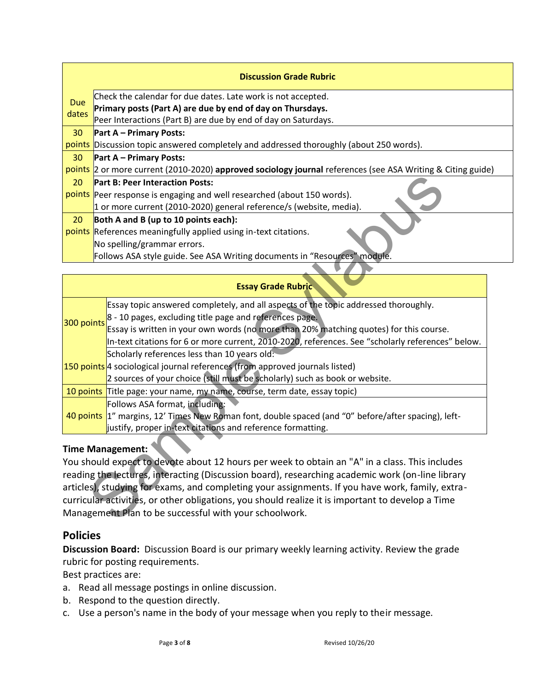|            | <b>Discussion Grade Rubric</b>                                                                              |
|------------|-------------------------------------------------------------------------------------------------------------|
| <b>Due</b> | Check the calendar for due dates. Late work is not accepted.                                                |
| dates      | Primary posts (Part A) are due by end of day on Thursdays.                                                  |
|            | Peer Interactions (Part B) are due by end of day on Saturdays.                                              |
| 30         | <b>Part A – Primary Posts:</b>                                                                              |
|            | points Discussion topic answered completely and addressed thoroughly (about 250 words).                     |
| 30         | <b>Part A – Primary Posts:</b>                                                                              |
|            | points 2 or more current (2010-2020) approved sociology journal references (see ASA Writing & Citing guide) |
| 20         | <b>Part B: Peer Interaction Posts:</b>                                                                      |
|            | points Peer response is engaging and well researched (about 150 words).                                     |
|            | 1 or more current (2010-2020) general reference/s (website, media).                                         |
| 20         | Both A and B (up to 10 points each):                                                                        |
|            | points References meaningfully applied using in-text citations.                                             |
|            | No spelling/grammar errors.                                                                                 |
|            | Follows ASA style guide. See ASA Writing documents in "Resources" module.                                   |

| 20                                                                                                | <b>Part B: Peer Interaction Posts:</b>                                                              |  |  |  |
|---------------------------------------------------------------------------------------------------|-----------------------------------------------------------------------------------------------------|--|--|--|
|                                                                                                   | points Peer response is engaging and well researched (about 150 words).                             |  |  |  |
|                                                                                                   | 1 or more current (2010-2020) general reference/s (website, media).                                 |  |  |  |
| 20                                                                                                | Both A and B (up to 10 points each):                                                                |  |  |  |
|                                                                                                   | points References meaningfully applied using in-text citations.                                     |  |  |  |
|                                                                                                   | No spelling/grammar errors.                                                                         |  |  |  |
|                                                                                                   | Follows ASA style guide. See ASA Writing documents in "Resources" module.                           |  |  |  |
|                                                                                                   |                                                                                                     |  |  |  |
|                                                                                                   | <b>Essay Grade Rubric</b>                                                                           |  |  |  |
|                                                                                                   | Essay topic answered completely, and all aspects of the topic addressed thoroughly.                 |  |  |  |
|                                                                                                   | 8 - 10 pages, excluding title page and references page.                                             |  |  |  |
| 300 points                                                                                        | Essay is written in your own words (no more than 20% matching quotes) for this course.              |  |  |  |
|                                                                                                   | In-text citations for 6 or more current, 2010-2020, references. See "scholarly references" below.   |  |  |  |
|                                                                                                   | Scholarly references less than 10 years old:                                                        |  |  |  |
|                                                                                                   | 150 points 4 sociological journal references (from approved journals listed)                        |  |  |  |
|                                                                                                   | 2 sources of your choice (still must be scholarly) such as book or website.                         |  |  |  |
|                                                                                                   | 10 points Title page: your name, my name, course, term date, essay topic)                           |  |  |  |
|                                                                                                   | Follows ASA format, including:                                                                      |  |  |  |
|                                                                                                   | 40 points 1" margins, 12' Times New Roman font, double spaced (and "0" before/after spacing), left- |  |  |  |
|                                                                                                   | justify, proper in-text citations and reference formatting.                                         |  |  |  |
|                                                                                                   |                                                                                                     |  |  |  |
|                                                                                                   | <b>Time Management:</b>                                                                             |  |  |  |
|                                                                                                   | You should expect to devote about 12 hours per week to obtain an "A" in a class. This includes      |  |  |  |
| reading the lectures, interacting (Discussion board), researching academic work (on-line library  |                                                                                                     |  |  |  |
| articles), studying for exams, and completing your assignments. If you have work, family, extra-  |                                                                                                     |  |  |  |
| curricular activities, or other obligations, you should realize it is important to develop a Time |                                                                                                     |  |  |  |
| Management Plan to be successful with your schoolwork.                                            |                                                                                                     |  |  |  |
|                                                                                                   |                                                                                                     |  |  |  |

#### **Time Management:**

#### **Policies**

**Discussion Board:** Discussion Board is our primary weekly learning activity. Review the grade rubric for posting requirements.

Best practices are:

- a. Read all message postings in online discussion.
- b. Respond to the question directly.
- c. Use a person's name in the body of your message when you reply to their message.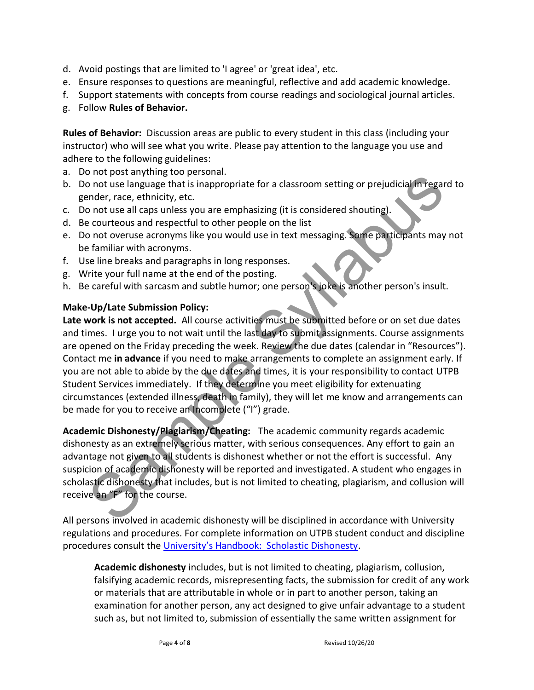- d. Avoid postings that are limited to 'I agree' or 'great idea', etc.
- e. Ensure responses to questions are meaningful, reflective and add academic knowledge.
- f. Support statements with concepts from course readings and sociological journal articles.
- g. Follow **Rules of Behavior.**

**Rules of Behavior:** Discussion areas are public to every student in this class (including your instructor) who will see what you write. Please pay attention to the language you use and adhere to the following guidelines:

- a. Do not post anything too personal.
- b. Do not use language that is inappropriate for a classroom setting or prejudicial in regard to gender, race, ethnicity, etc.
- c. Do not use all caps unless you are emphasizing (it is considered shouting).
- d. Be courteous and respectful to other people on the list
- e. Do not overuse acronyms like you would use in text messaging. Some participants may not be familiar with acronyms.
- f. Use line breaks and paragraphs in long responses.
- g. Write your full name at the end of the posting.
- h. Be careful with sarcasm and subtle humor; one person's joke is another person's insult.

#### **Make-Up/Late Submission Policy:**

**Late work is not accepted.** All course activities must be submitted before or on set due dates and times. I urge you to not wait until the last day to submit assignments. Course assignments are opened on the Friday preceding the week. Review the due dates (calendar in "Resources"). Contact me **in advance** if you need to make arrangements to complete an assignment early. If you are not able to abide by the due dates and times, it is your responsibility to contact UTPB Student Services immediately. If they determine you meet eligibility for extenuating circumstances (extended illness, death in family), they will let me know and arrangements can be made for you to receive an Incomplete ("I") grade. on out use language that is inappropriate for a classroom setting or prejudicial in regarded.<br>
not use language that is inappropriate for a classroom setting or prejudicial in regarded, race, ethnicity, etc.<br>
not use all c

**Academic Dishonesty/Plagiarism/Cheating:** The academic community regards academic dishonesty as an extremely serious matter, with serious consequences. Any effort to gain an advantage not given to all students is dishonest whether or not the effort is successful. Any suspicion of academic dishonesty will be reported and investigated. A student who engages in scholastic dishonesty that includes, but is not limited to cheating, plagiarism, and collusion will receive an "F" for the course.

All persons involved in academic dishonesty will be disciplined in accordance with University regulations and procedures. For complete information on UTPB student conduct and discipline procedures consult the [University's Handbook: Scholastic Dishonesty](https://www.utpb.edu/campus-life/dean-of-students/scholastic-dishonesty).

**Academic dishonesty** includes, but is not limited to cheating, plagiarism, collusion, falsifying academic records, misrepresenting facts, the submission for credit of any work or materials that are attributable in whole or in part to another person, taking an examination for another person, any act designed to give unfair advantage to a student such as, but not limited to, submission of essentially the same written assignment for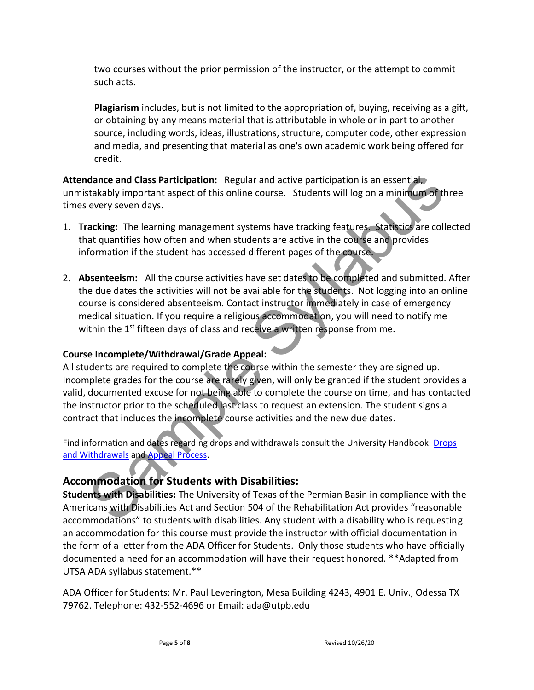two courses without the prior permission of the instructor, or the attempt to commit such acts.

**Plagiarism** includes, but is not limited to the appropriation of, buying, receiving as a gift, or obtaining by any means material that is attributable in whole or in part to another source, including words, ideas, illustrations, structure, computer code, other expression and media, and presenting that material as one's own academic work being offered for credit.

**Attendance and Class Participation:** Regular and active participation is an essential, unmistakably important aspect of this online course. Students will log on a minimum of three times every seven days.

- 1. **Tracking:** The learning management systems have tracking features. Statistics are collected that quantifies how often and when students are active in the course and provides information if the student has accessed different pages of the course.
- 2. **Absenteeism:** All the course activities have set dates to be completed and submitted. After the due dates the activities will not be available for the students. Not logging into an online course is considered absenteeism. Contact instructor immediately in case of emergency medical situation. If you require a religious accommodation, you will need to notify me within the 1<sup>st</sup> fifteen days of class and receive a written response from me.

#### **Course Incomplete/Withdrawal/Grade Appeal:**

All students are required to complete the course within the semester they are signed up. Incomplete grades for the course are rarely given, will only be granted if the student provides a valid, documented excuse for not being able to complete the course on time, and has contacted the instructor prior to the scheduled last class to request an extension. The student signs a contract that includes the incomplete course activities and the new due dates. dance and Class Participation: Regular and active participation is an essential,<br>takabily important aspect of this online course. Students will log on a minimum of the<br>stakbily important aspect of this online course. Stude

Find information and dates regarding drops and withdrawals consult the University Handbook: [Drops](https://www.utpb.edu/services/academic-affairs/office-of-the-registrar/adds-drops)  [and Withdrawals](https://www.utpb.edu/services/academic-affairs/office-of-the-registrar/adds-drops) and Appeal Process.

# **Accommodation for Students with Disabilities:**

**Students with Disabilities:** The University of Texas of the Permian Basin in compliance with the Americans with Disabilities Act and Section 504 of the Rehabilitation Act provides "reasonable accommodations" to students with disabilities. Any student with a disability who is requesting an accommodation for this course must provide the instructor with official documentation in the form of a letter from the ADA Officer for Students. Only those students who have officially documented a need for an accommodation will have their request honored. \*\*Adapted from UTSA ADA syllabus statement.\*\*

ADA Officer for Students: Mr. Paul Leverington, Mesa Building 4243, 4901 E. Univ., Odessa TX 79762. Telephone: 432-552-4696 or Email: ada@utpb.edu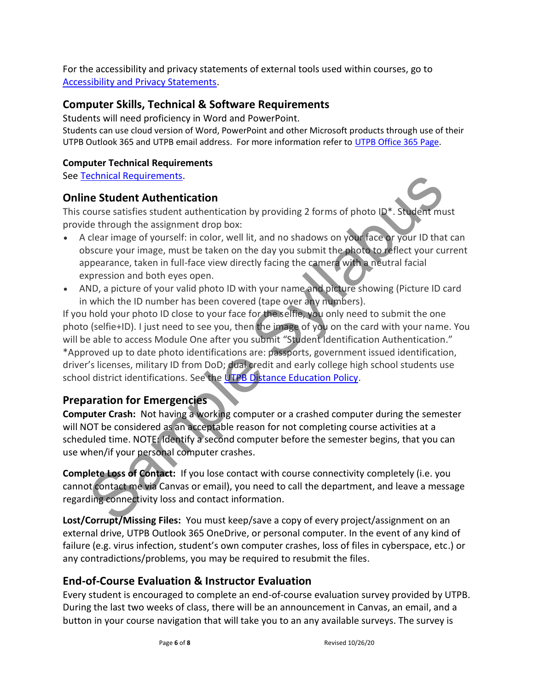For the accessibility and privacy statements of external tools used within courses, go to [Accessibility and Privacy Statements.](https://www.utpb.edu/online/reach/ADA_Privacy)

### **Computer Skills, Technical & Software Requirements**

Students will need proficiency in Word and PowerPoint.

Students can use cloud version of Word, PowerPoint and other Microsoft products through use of their UTPB Outlook 365 and UTPB email address. For more information refer to [UTPB Office 365 Page.](https://www.utpb.edu/services/ird/Service-Catalog/office-365/)

#### **Computer Technical Requirements**

See [Technical Requirements.](https://www.utpb.edu/online/reach/technical-requirements)

#### **Online Student Authentication**

This course satisfies student authentication by providing 2 forms of photo ID\*. Student must provide through the assignment drop box:

- A clear image of yourself: in color, well lit, and no shadows on your face or your ID that can obscure your image, must be taken on the day you submit the photo to reflect your current appearance, taken in full-face view directly facing the camera with a neutral facial expression and both eyes open.
- AND, a picture of your valid photo ID with your name and picture showing (Picture ID card in which the ID number has been covered (tape over any numbers).

If you hold your photo ID close to your face for the selfie, you only need to submit the one photo (selfie+ID). I just need to see you, then the image of you on the card with your name. You will be able to access Module One after you submit "Student Identification Authentication." \*Approved up to date photo identifications are: passports, government issued identification, driver's licenses, military ID from DoD; dual credit and early college high school students use school district identifications. See the UTPB Distance Education Policy. echnical Requirements.<br>
Section and Reducements.<br>
Sections attention and the distant anticlation by providing 2 forms of photo ID\*. Student mu<br>
de through the assignment drop box:<br>
clear image of yourself: in color, well l

# **Preparation for Emergencies**

**Computer Crash:** Not having a working computer or a crashed computer during the semester will NOT be considered as an acceptable reason for not completing course activities at a scheduled time. NOTE: Identify a second computer before the semester begins, that you can use when/if your personal computer crashes.

**Complete Loss of Contact:** If you lose contact with course connectivity completely (i.e. you cannot contact me via Canvas or email), you need to call the department, and leave a message regarding connectivity loss and contact information.

**Lost/Corrupt/Missing Files:** You must keep/save a copy of every project/assignment on an external drive, UTPB Outlook 365 OneDrive, or personal computer. In the event of any kind of failure (e.g. virus infection, student's own computer crashes, loss of files in cyberspace, etc.) or any contradictions/problems, you may be required to resubmit the files.

# **End-of-Course Evaluation & Instructor Evaluation**

Every student is encouraged to complete an end-of-course evaluation survey provided by UTPB. During the last two weeks of class, there will be an announcement in Canvas, an email, and a button in your course navigation that will take you to an any available surveys. The survey is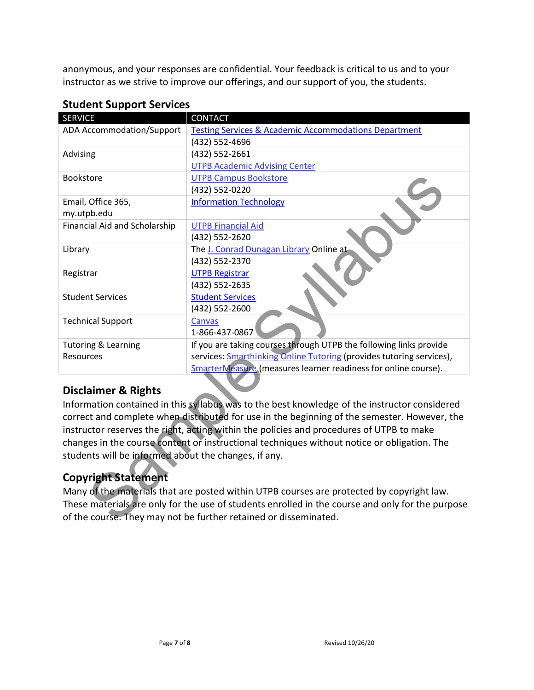anonymous, and your responses are confidential. Your feedback is critical to us and to your instructor as we strive to improve our offerings, and our support of you, the students.

| <b>SERVICE</b>                                                                                   | <b>CONTACT</b>                                                                                |  |  |  |
|--------------------------------------------------------------------------------------------------|-----------------------------------------------------------------------------------------------|--|--|--|
| <b>ADA Accommodation/Support</b>                                                                 | <b>Testing Services &amp; Academic Accommodations Department</b>                              |  |  |  |
|                                                                                                  | (432) 552-4696                                                                                |  |  |  |
| Advising                                                                                         | (432) 552-2661                                                                                |  |  |  |
|                                                                                                  | <b>UTPB Academic Advising Center</b>                                                          |  |  |  |
| Bookstore                                                                                        | <b>UTPB Campus Bookstore</b>                                                                  |  |  |  |
|                                                                                                  | (432) 552-0220                                                                                |  |  |  |
| Email, Office 365,                                                                               | <b>Information Technology</b>                                                                 |  |  |  |
| my.utpb.edu                                                                                      |                                                                                               |  |  |  |
| Financial Aid and Scholarship                                                                    | <b>UTPB Financial Aid</b>                                                                     |  |  |  |
|                                                                                                  | (432) 552-2620                                                                                |  |  |  |
| Library                                                                                          | The J. Conrad Dunagan Library Online at-                                                      |  |  |  |
|                                                                                                  | (432) 552-2370                                                                                |  |  |  |
| Registrar                                                                                        | <b>UTPB Registrar</b>                                                                         |  |  |  |
|                                                                                                  | (432) 552-2635                                                                                |  |  |  |
| <b>Student Services</b>                                                                          | <b>Student Services</b>                                                                       |  |  |  |
|                                                                                                  | (432) 552-2600                                                                                |  |  |  |
| <b>Technical Support</b>                                                                         | Canvas<br>1-866-437-0867                                                                      |  |  |  |
| <b>Tutoring &amp; Learning</b>                                                                   | If you are taking courses through UTPB the following links provide                            |  |  |  |
| Resources                                                                                        | services: <b>Smarthinking Online Tutoring</b> (provides tutoring services),                   |  |  |  |
|                                                                                                  | SmarterMeasure (measures learner readiness for online course).                                |  |  |  |
| <b>Disclaimer &amp; Rights</b>                                                                   |                                                                                               |  |  |  |
|                                                                                                  | Information contained in this syllabus was to the best knowledge of the instructor considered |  |  |  |
| correct and complete when distributed for use in the beginning of the semester. However, the     |                                                                                               |  |  |  |
| instructor reserves the right, acting within the policies and procedures of UTPB to make         |                                                                                               |  |  |  |
| changes in the course content or instructional techniques without notice or obligation. The      |                                                                                               |  |  |  |
| students will be informed about the changes, if any.                                             |                                                                                               |  |  |  |
|                                                                                                  |                                                                                               |  |  |  |
| <b>Copyright Statement</b>                                                                       |                                                                                               |  |  |  |
| Many of the materials that are posted within UTPB courses are protected by copyright law.        |                                                                                               |  |  |  |
| These materials are only for the use of students enrolled in the course and only for the purpose |                                                                                               |  |  |  |
|                                                                                                  |                                                                                               |  |  |  |
| of the course. They may not be further retained or disseminated.                                 |                                                                                               |  |  |  |

#### **Student Support Services**

# **Disclaimer & Rights**

# **Copyright Statement**